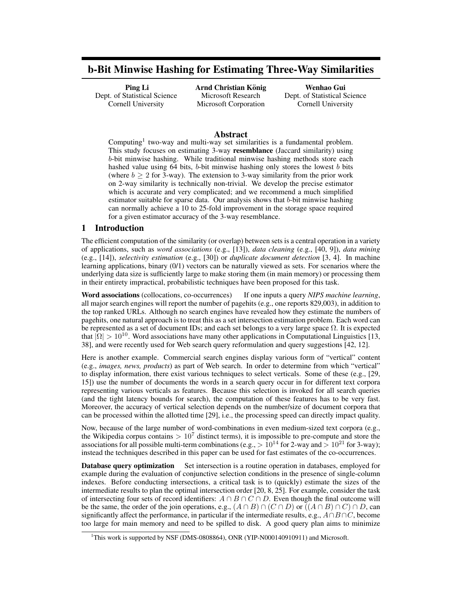# b-Bit Minwise Hashing for Estimating Three-Way Similarities

Ping Li Dept. of Statistical Science Cornell University

Arnd Christian König Microsoft Research Microsoft Corporation

Wenhao Gui Dept. of Statistical Science Cornell University

## Abstract

Computing<sup>1</sup> two-way and multi-way set similarities is a fundamental problem. This study focuses on estimating 3-way resemblance (Jaccard similarity) using b-bit minwise hashing. While traditional minwise hashing methods store each hashed value using 64 bits, b-bit minwise hashing only stores the lowest b bits (where  $b \ge 2$  for 3-way). The extension to 3-way similarity from the prior work on 2-way similarity is technically non-trivial. We develop the precise estimator which is accurate and very complicated; and we recommend a much simplified estimator suitable for sparse data. Our analysis shows that b-bit minwise hashing can normally achieve a 10 to 25-fold improvement in the storage space required for a given estimator accuracy of the 3-way resemblance.

# 1 Introduction

The efficient computation of the similarity (or overlap) between sets is a central operation in a variety of applications, such as *word associations* (e.g., [13]), *data cleaning* (e.g., [40, 9]), *data mining* (e.g., [14]), *selectivity estimation* (e.g., [30]) or *duplicate document detection* [3, 4]. In machine learning applications, binary (0/1) vectors can be naturally viewed as sets. For scenarios where the underlying data size is sufficiently large to make storing them (in main memory) or processing them in their entirety impractical, probabilistic techniques have been proposed for this task.

Word associations (collocations, co-occurrences) If one inputs a query *NIPS machine learning*, all major search engines will report the number of pagehits (e.g., one reports 829,003), in addition to the top ranked URLs. Although no search engines have revealed how they estimate the numbers of pagehits, one natural approach is to treat this as a set intersection estimation problem. Each word can be represented as a set of document IDs; and each set belongs to a very large space  $\Omega$ . It is expected that  $|\Omega| > 10^{10}$ . Word associations have many other applications in Computational Linguistics [13, 38], and were recently used for Web search query reformulation and query suggestions [42, 12].

Here is another example. Commercial search engines display various form of "vertical" content (e.g., *images, news, products*) as part of Web search. In order to determine from which "vertical" to display information, there exist various techniques to select verticals. Some of these (e.g., [29, 15]) use the number of documents the words in a search query occur in for different text corpora representing various verticals as features. Because this selection is invoked for all search queries (and the tight latency bounds for search), the computation of these features has to be very fast. Moreover, the accuracy of vertical selection depends on the number/size of document corpora that can be processed within the allotted time [29], i.e., the processing speed can directly impact quality.

Now, because of the large number of word-combinations in even medium-sized text corpora (e.g., the Wikipedia corpus contains  $> 10<sup>7</sup>$  distinct terms), it is impossible to pre-compute and store the associations for all possible multi-term combinations (e.g.,  $> 10^{14}$  for 2-way and  $> 10^{21}$  for 3-way); instead the techniques described in this paper can be used for fast estimates of the co-occurrences.

**Database query optimization** Set intersection is a routine operation in databases, employed for example during the evaluation of conjunctive selection conditions in the presence of single-column indexes. Before conducting intersections, a critical task is to (quickly) estimate the sizes of the intermediate results to plan the optimal intersection order [20, 8, 25]. For example, consider the task of intersecting four sets of record identifiers:  $A \cap B \cap C \cap D$ . Even though the final outcome will be the same, the order of the join operations, e.g.,  $(A \cap B) \cap (C \cap D)$  or  $((A \cap B) \cap C) \cap D$ , can significantly affect the performance, in particular if the intermediate results, e.g.,  $A \cap B \cap C$ , become too large for main memory and need to be spilled to disk. A good query plan aims to minimize

<sup>&</sup>lt;sup>1</sup>This work is supported by NSF (DMS-0808864), ONR (YIP-N000140910911) and Microsoft.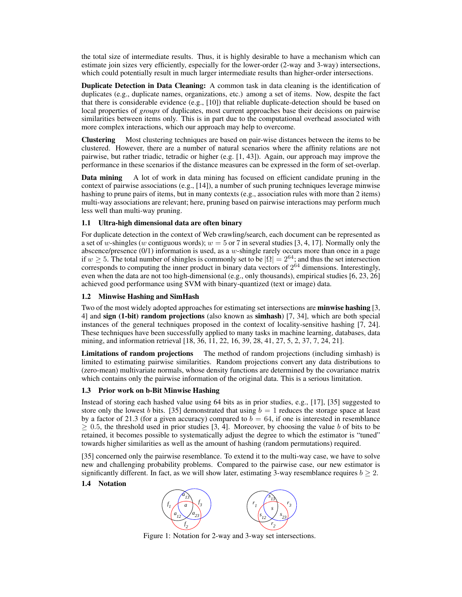the total size of intermediate results. Thus, it is highly desirable to have a mechanism which can estimate join sizes very efficiently, especially for the lower-order (2-way and 3-way) intersections, which could potentially result in much larger intermediate results than higher-order intersections.

Duplicate Detection in Data Cleaning: A common task in data cleaning is the identification of duplicates (e.g., duplicate names, organizations, etc.) among a set of items. Now, despite the fact that there is considerable evidence (e.g., [10]) that reliable duplicate-detection should be based on local properties of *groups* of duplicates, most current approaches base their decisions on pairwise similarities between items only. This is in part due to the computational overhead associated with more complex interactions, which our approach may help to overcome.

Clustering Most clustering techniques are based on pair-wise distances between the items to be clustered. However, there are a number of natural scenarios where the affinity relations are not pairwise, but rather triadic, tetradic or higher (e.g. [1, 43]). Again, our approach may improve the performance in these scenarios if the distance measures can be expressed in the form of set-overlap.

Data mining A lot of work in data mining has focused on efficient candidate pruning in the context of pairwise associations (e.g., [14]), a number of such pruning techniques leverage minwise hashing to prune pairs of items, but in many contexts (e.g., association rules with more than 2 items) multi-way associations are relevant; here, pruning based on pairwise interactions may perform much less well than multi-way pruning.

## 1.1 Ultra-high dimensional data are often binary

For duplicate detection in the context of Web crawling/search, each document can be represented as a set of w-shingles (w contiguous words);  $w = 5$  or 7 in several studies [3, 4, 17]. Normally only the abscence/presence  $(0/1)$  information is used, as a w-shingle rarely occurs more than once in a page if  $w \ge 5$ . The total number of shingles is commonly set to be  $|\Omega| = 2^{64}$ ; and thus the set intersection corresponds to computing the inner product in binary data vectors of  $2^{64}$  dimensions. Interestingly, even when the data are not too high-dimensional (e.g., only thousands), empirical studies [6, 23, 26] achieved good performance using SVM with binary-quantized (text or image) data.

#### 1.2 Minwise Hashing and SimHash

Two of the most widely adopted approaches for estimating set intersections are minwise hashing [3, 4] and sign (1-bit) random projections (also known as simhash) [7, 34], which are both special instances of the general techniques proposed in the context of locality-sensitive hashing [7, 24]. These techniques have been successfully applied to many tasks in machine learning, databases, data mining, and information retrieval [18, 36, 11, 22, 16, 39, 28, 41, 27, 5, 2, 37, 7, 24, 21].

Limitations of random projections The method of random projections (including simhash) is limited to estimating pairwise similarities. Random projections convert any data distributions to (zero-mean) multivariate normals, whose density functions are determined by the covariance matrix which contains only the pairwise information of the original data. This is a serious limitation.

#### 1.3 Prior work on b-Bit Minwise Hashing

Instead of storing each hashed value using 64 bits as in prior studies, e.g., [17], [35] suggested to store only the lowest b bits. [35] demonstrated that using  $b = 1$  reduces the storage space at least by a factor of 21.3 (for a given accuracy) compared to  $b = 64$ , if one is interested in resemblance  $\geq 0.5$ , the threshold used in prior studies [3, 4]. Moreover, by choosing the value b of bits to be retained, it becomes possible to systematically adjust the degree to which the estimator is "tuned" towards higher similarities as well as the amount of hashing (random permutations) required.

[35] concerned only the pairwise resemblance. To extend it to the multi-way case, we have to solve new and challenging probability problems. Compared to the pairwise case, our new estimator is significantly different. In fact, as we will show later, estimating 3-way resemblance requires  $b \geq 2$ .

#### 1.4 Notation



Figure 1: Notation for 2-way and 3-way set intersections.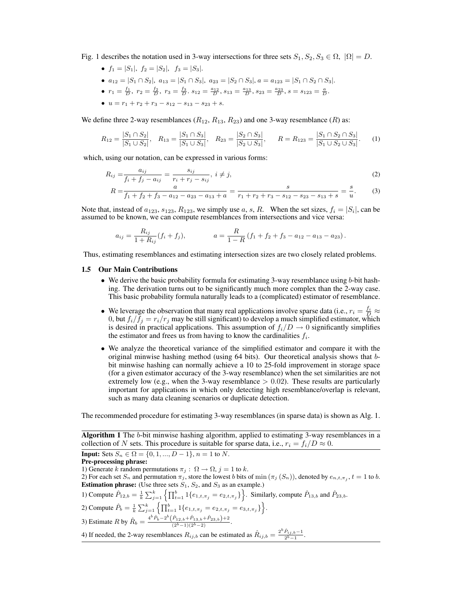Fig. 1 describes the notation used in 3-way intersections for three sets  $S_1, S_2, S_3 \in \Omega$ ,  $|\Omega| = D$ .

- $f_1 = |S_1|, f_2 = |S_2|, f_3 = |S_3|.$
- $a_{12} = |S_1 \cap S_2|$ ,  $a_{13} = |S_1 \cap S_3|$ ,  $a_{23} = |S_2 \cap S_3|$ ,  $a = a_{123} = |S_1 \cap S_2 \cap S_3|$ .
- $r_1 = \frac{f_1}{D}, r_2 = \frac{f_2}{D}, r_3 = \frac{f_3}{D}, s_{12} = \frac{a_{12}}{D}, s_{13} = \frac{a_{13}}{D}, s_{23} = \frac{a_{23}}{D}, s = s_{123} = \frac{a}{D}.$
- $u = r_1 + r_2 + r_3 s_{12} s_{13} s_{23} + s$ .

We define three 2-way resemblances  $(R_{12}, R_{13}, R_{23})$  and one 3-way resemblance  $(R)$  as:

$$
R_{12} = \frac{|S_1 \cap S_2|}{|S_1 \cup S_2|}, \quad R_{13} = \frac{|S_1 \cap S_3|}{|S_1 \cup S_3|}, \quad R_{23} = \frac{|S_2 \cap S_3|}{|S_2 \cup S_3|}, \quad R = R_{123} = \frac{|S_1 \cap S_2 \cap S_3|}{|S_1 \cup S_2 \cup S_3|}. \tag{1}
$$

which, using our notation, can be expressed in various forms:

$$
R_{ij} = \frac{a_{ij}}{f_i + f_j - a_{ij}} = \frac{s_{ij}}{r_i + r_j - s_{ij}}, \ i \neq j,
$$
\n(2)

$$
R = \frac{a}{f_1 + f_2 + f_3 - a_{12} - a_{23} - a_{13} + a} = \frac{b}{r_1 + r_2 + r_3 - s_{12} - s_{23} - s_{13} + s} = \frac{b}{u}.
$$
 (3)

Note that, instead of  $a_{123}, s_{123}, R_{123}$ , we simply use  $a, s, R$ . When the set sizes,  $f_i = |S_i|$ , can be assumed to be known, we can compute resemblances from intersections and vice versa:

$$
a_{ij} = \frac{R_{ij}}{1 + R_{ij}} (f_i + f_j), \qquad a = \frac{R}{1 - R} (f_1 + f_2 + f_3 - a_{12} - a_{13} - a_{23}).
$$

Thus, estimating resemblances and estimating intersection sizes are two closely related problems.

#### 1.5 Our Main Contributions

- We derive the basic probability formula for estimating 3-way resemblance using b-bit hashing. The derivation turns out to be significantly much more complex than the 2-way case. This basic probability formula naturally leads to a (complicated) estimator of resemblance.
- We leverage the observation that many real applications involve sparse data (i.e.,  $r_i = \frac{f_i}{D} \approx$ 0, but  $f_i/f_j = r_i/r_j$  may be still significant) to develop a much simplified estimator, which is desired in practical applications. This assumption of  $f_i/D \to 0$  significantly simplifies the estimator and frees us from having to know the cardinalities  $f_i$ .
- We analyze the theoretical variance of the simplified estimator and compare it with the original minwise hashing method (using 64 bits). Our theoretical analysis shows that bbit minwise hashing can normally achieve a 10 to 25-fold improvement in storage space (for a given estimator accuracy of the 3-way resemblance) when the set similarities are not extremely low (e.g., when the 3-way resemblance  $> 0.02$ ). These results are particularly important for applications in which only detecting high resemblance/overlap is relevant, such as many data cleaning scenarios or duplicate detection.

The recommended procedure for estimating 3-way resemblances (in sparse data) is shown as Alg. 1.

**Algorithm 1** The b-bit minwise hashing algorithm, applied to estimating 3-way resemblances in a collection of N sets. This procedure is suitable for sparse data, i.e.,  $r_i = f_i/D \approx 0$ . **Input:** Sets  $S_n \in \Omega = \{0, 1, ..., D-1\}, n = 1$  to N. Pre-processing phrase: 1) Generate k random permutations  $\pi_j$ :  $\Omega \rightarrow \Omega$ ,  $j = 1$  to k. 2) For each set  $S_n$  and permutation  $\pi_j$ , store the lowest b bits of min  $(\pi_j (S_n))$ , denoted by  $e_{n,t,\pi_j}, t = 1$  to b. **Estimation phrase:** (Use three sets  $S_1$ ,  $S_2$ , and  $S_3$  as an example.) **Estimation phrase:** (Use three sets  $S_1$ ,  $S_2$ , and  $S_3$  as an example.)<br>
1) Compute  $\hat{P}_{12,b} = \frac{1}{k} \sum_{j=1}^k \left\{ \prod_{t=1}^b 1\{e_{1,t,\pi_j} = e_{2,t,\pi_j}\} \right\}$ . Similarly, compute  $\hat{P}_{13,b}$  and  $\hat{P}_{23,b}$ . 2) Compute  $\hat{P}_b = \frac{1}{k} \sum_{j=1}^k \left\{ \prod_{t=1}^b 1_{\{e_{1,t,\pi_j} = e_{2,t,\pi_j} = e_{3,t,\pi_j}\} } \right\}.$ 3) Estimate R by  $\hat{R}_b = \frac{4^b \hat{P}_b - 2^b (\hat{P}_{12,b} + \hat{P}_{13,b} + \hat{P}_{23,b}) + 2}{(2^b - 1)(2^b - 2)}$ . 4) If needed, the 2-way resemblances  $R_{ij,b}$  can be estimated as  $\hat{R}_{ij,b} = \frac{2^b \hat{P}_{ij,b}-1}{2^b-1}$ .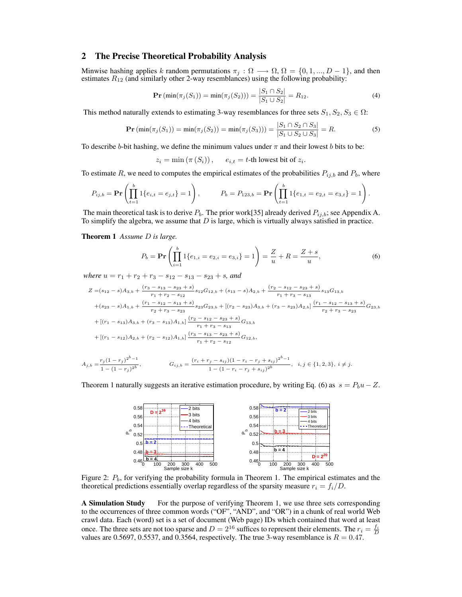## 2 The Precise Theoretical Probability Analysis

Minwise hashing applies k random permutations  $\pi_j : \Omega \longrightarrow \Omega$ ,  $\Omega = \{0, 1, ..., D - 1\}$ , and then estimates  $R_{12}$  (and similarly other 2-way resemblances) using the following probability:

$$
\mathbf{Pr}(\min(\pi_j(S_1)) = \min(\pi_j(S_2))) = \frac{|S_1 \cap S_2|}{|S_1 \cup S_2|} = R_{12}.
$$
 (4)

This method naturally extends to estimating 3-way resemblances for three sets  $S_1, S_2, S_3 \in \Omega$ :

$$
\mathbf{Pr}(\min(\pi_j(S_1)) = \min(\pi_j(S_2)) = \min(\pi_j(S_3))) = \frac{|S_1 \cap S_2 \cap S_3|}{|S_1 \cup S_2 \cup S_3|} = R.
$$
 (5)

To describe b-bit hashing, we define the minimum values under  $\pi$  and their lowest b bits to be:

 $z_i = \min(\pi(S_i)),$   $e_{i,t} = t$ -th lowest bit of  $z_i$ .

To estimate R, we need to computes the empirical estimates of the probabilities  $P_{ij,b}$  and  $P_b$ , where

$$
P_{ij,b} = \mathbf{Pr}\left(\prod_{t=1}^b 1\{e_{i,t} = e_{j,t}\} = 1\right), \qquad P_b = P_{123,b} = \mathbf{Pr}\left(\prod_{t=1}^b 1\{e_{1,t} = e_{2,t} = e_{3,t}\} = 1\right).
$$

The main theoretical task is to derive  $P_b$ . The prior work[35] already derived  $P_{ij,b}$ ; see Appendix A. To simplify the algebra, we assume that  $D$  is large, which is virtually always satisfied in practice.

Theorem 1 *Assume* D *is large.*

$$
P_b = \mathbf{Pr}\left(\prod_{i=1}^b 1\{e_{1,i} = e_{2,i} = e_{3,i}\} = 1\right) = \frac{Z}{u} + R = \frac{Z+s}{u},\tag{6}
$$

*where*  $u = r_1 + r_2 + r_3 - s_{12} - s_{13} - s_{23} + s$ , and

$$
Z = (s_{12} - s)A_{3,b} + \frac{(r_3 - s_{13} - s_{23} + s)}{r_1 + r_2 - s_{12}} s_{12}G_{12,b} + (s_{13} - s)A_{2,b} + \frac{(r_2 - s_{12} - s_{23} + s)}{r_1 + r_3 - s_{13}} s_{13}G_{13,b}
$$
  
+ $(s_{23} - s)A_{1,b} + \frac{(r_1 - s_{12} - s_{13} + s)}{r_2 + r_3 - s_{23}} s_{23}G_{23,b} + [(r_2 - s_{23})A_{3,b} + (r_3 - s_{23})A_{2,b}] \frac{(r_1 - s_{12} - s_{13} + s)}{r_2 + r_3 - s_{23}} G_{23,b}$   
+ $[(r_1 - s_{13})A_{3,b} + (r_3 - s_{13})A_{1,b}] \frac{(r_2 - s_{12} - s_{23} + s)}{r_1 + r_3 - s_{13}} G_{13,b}$   
+ $[(r_1 - s_{12})A_{2,b} + (r_2 - s_{12})A_{1,b}] \frac{(r_3 - s_{13} - s_{23} + s)}{r_1 + r_2 - s_{12}} G_{12,b},$ 

$$
A_{j,b} = \frac{r_j (1 - r_j)^{2^b - 1}}{1 - (1 - r_j)^{2^b}}, \qquad G_{ij,b} = \frac{(r_i + r_j - s_{ij})(1 - r_i - r_j + s_{ij})^{2^b - 1}}{1 - (1 - r_i - r_j + s_{ij})^{2^b}}, \quad i, j \in \{1, 2, 3\}, \ i \neq j.
$$

Theorem 1 naturally suggests an iterative estimation procedure, by writing Eq. (6) as  $s = P_b u - Z$ .



Figure 2:  $P_b$ , for verifying the probability formula in Theorem 1. The empirical estimates and the theoretical predictions essentially overlap regardless of the sparsity measure  $r_i = f_i/D$ .

A Simulation Study For the purpose of verifying Theorem 1, we use three sets corresponding to the occurrences of three common words ("OF", "AND", and "OR") in a chunk of real world Web crawl data. Each (word) set is a set of document (Web page) IDs which contained that word at least once. The three sets are not too sparse and  $D = 2^{16}$  suffices to represent their elements. The  $r_i = \frac{f_i}{D}$ values are 0.5697, 0.5537, and 0.3564, respectively. The true 3-way resemblance is  $R = 0.47$ .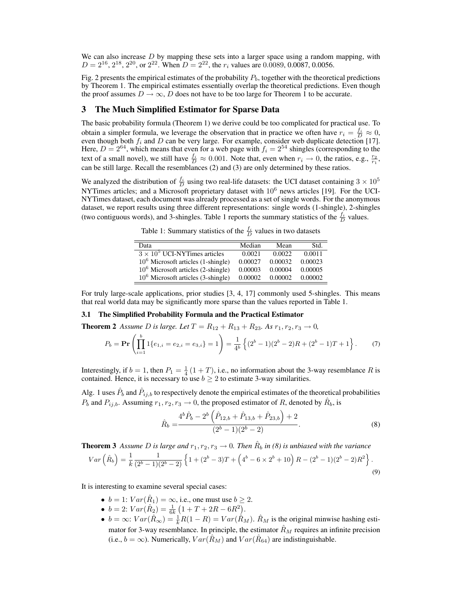We can also increase  $D$  by mapping these sets into a larger space using a random mapping, with  $D = 2^{16}, 2^{18}, 2^{20},$  or  $2^{22}$ . When  $D = 2^{22}$ , the  $r_i$  values are 0.0089, 0.0087, 0.0056.

Fig. 2 presents the empirical estimates of the probability  $P_b$ , together with the theoretical predictions by Theorem 1. The empirical estimates essentially overlap the theoretical predictions. Even though the proof assumes  $D \to \infty$ , D does not have to be too large for Theorem 1 to be accurate.

## 3 The Much Simplified Estimator for Sparse Data

The basic probability formula (Theorem 1) we derive could be too complicated for practical use. To obtain a simpler formula, we leverage the observation that in practice we often have  $r_i = \frac{f_i}{D} \approx 0$ , even though both  $f_i$  and D can be very large. For example, consider web duplicate detection [17]. Here,  $D = 2^{64}$ , which means that even for a web page with  $f_i = 2^{54}$  shingles (corresponding to the text of a small novel), we still have  $\frac{f_i}{D} \approx 0.001$ . Note that, even when  $r_i \to 0$ , the ratios, e.g.,  $\frac{r_2}{r_1}$ , can be still large. Recall the resemblances (2) and (3) are only determined by these ratios.

We analyzed the distribution of  $\frac{f_i}{D}$  using two real-life datasets: the UCI dataset containing  $3 \times 10^5$ NYTimes articles; and a Microsoft proprietary dataset with  $10^6$  news articles [19]. For the UCI-NYTimes dataset, each document was already processed as a set of single words. For the anonymous dataset, we report results using three different representations: single words (1-shingle), 2-shingles (two contiguous words), and 3-shingles. Table 1 reports the summary statistics of the  $\frac{f_i}{D}$  values.

Table 1: Summary statistics of the  $\frac{f_i}{D}$  values in two datasets

| Data                                 | Median  | Mean    | Std.    |
|--------------------------------------|---------|---------|---------|
| $3 \times 10^5$ UCI-NYTimes articles | 0.0021  | 0.0022  | 0.0011  |
| $106$ Microsoft articles (1-shingle) | 0.00027 | 0.00032 | 0.00023 |
| $106$ Microsoft articles (2-shingle) | 0.00003 | 0.00004 | 0.00005 |
| $106$ Microsoft articles (3-shingle) | 0.00002 | 0.00002 | 0.00002 |

For truly large-scale applications, prior studies [3, 4, 17] commonly used 5-shingles. This means that real world data may be significantly more sparse than the values reported in Table 1.

#### 3.1 The Simplified Probability Formula and the Practical Estimator

**Theorem 2** *Assume D is large. Let*  $T = R_{12} + R_{13} + R_{23}$ *. As*  $r_1, r_2, r_3 \rightarrow 0$ *,* 

$$
P_b = \mathbf{Pr}\left(\prod_{i=1}^b 1\{e_{1,i} = e_{2,i} = e_{3,i}\} = 1\right) = \frac{1}{4^b} \left\{ (2^b - 1)(2^b - 2)R + (2^b - 1)T + 1 \right\}.
$$
 (7)

Interestingly, if  $b = 1$ , then  $P_1 = \frac{1}{4}(1+T)$ , i.e., no information about the 3-way resemblance R is contained. Hence, it is necessary to use  $b \geq 2$  to estimate 3-way similarities.

Alg. 1 uses  $\hat{P}_b$  and  $\hat{P}_{ij,b}$  to respectively denote the empirical estimates of the theoretical probabilities  $P_b$  and  $P_{ij,b}$ . Assuming  $r_1, r_2, r_3 \rightarrow 0$ , the proposed estimator of R, denoted by  $\hat{R}_b$ , is<br>  $4^b \hat{P}_b - 2^b (\hat{P}_{12,b} + \hat{P}_{13,b} + \hat{P}_{23,b}) + 2$ 

$$
\hat{R}_b = \frac{4^b \hat{P}_b - 2^b \left( \hat{P}_{12,b} + \hat{P}_{13,b} + \hat{P}_{23,b} \right) + 2}{(2^b - 1)(2^b - 2)}.
$$
\n(8)

**Theorem 3** *Assume D is large and*  $r_1, r_2, r_3 \rightarrow 0$ . Then  $\hat{R}_b$  in (8) is unbiased with the variance

$$
Var\left(\hat{R}_b\right) = \frac{1}{k} \frac{1}{(2^b - 1)(2^b - 2)} \left\{ 1 + (2^b - 3)T + \left(4^b - 6 \times 2^b + 10\right)R - (2^b - 1)(2^b - 2)R^2 \right\}.
$$
\n(9)

It is interesting to examine several special cases:

- $b = 1$ :  $Var(\hat{R}_1) = \infty$ , i.e., one must use  $b \ge 2$ .
- $b = 2$ :  $Var(\hat{R}_2) = \frac{1}{6k} (1 + T + 2R 6R^2).$
- $b = \infty$ :  $Var(\hat{R}_{\infty}) = \frac{1}{k}R(1 R) = Var(\hat{R}_{M})$ .  $\hat{R}_{M}$  is the original minwise hashing estimator for 3-way resemblance. In principle, the estimator  $\hat{R}_M$  requires an infinite precision (i.e.,  $b = \infty$ ). Numerically,  $Var(\hat{R}_M)$  and  $Var(\hat{R}_{64})$  are indistinguishable.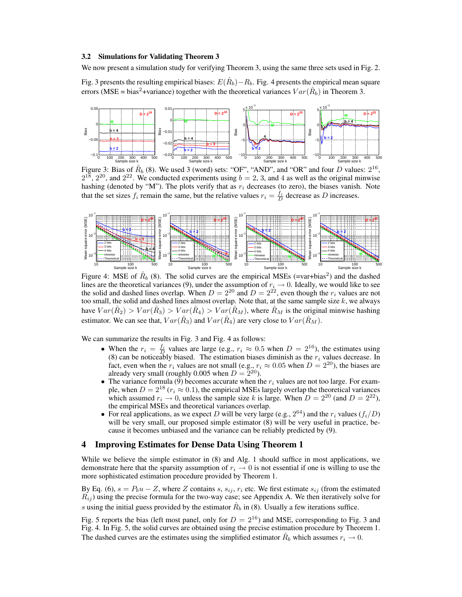#### 3.2 Simulations for Validating Theorem 3

We now present a simulation study for verifying Theorem 3, using the same three sets used in Fig. 2.

Fig. 3 presents the resulting empirical biases:  $E(\hat{R}_b) - R_b$ . Fig. 4 presents the empirical mean square errors (MSE = bias<sup>2</sup>+variance) together with the theoretical variances  $Var(\hat{R}_b)$  in Theorem 3.



Figure 3: Bias of  $\hat{R}_b$  (8). We used 3 (word) sets: "OF", "AND", and "OR" and four D values:  $2^{16}$ ,  $2^{18}$ ,  $2^{20}$ , and  $2^{22}$ . We conducted experiments using  $b = 2, 3$ , and 4 as well as the original minwise hashing (denoted by "M"). The plots verify that as  $r_i$  decreases (to zero), the biases vanish. Note that the set sizes  $f_i$  remain the same, but the relative values  $r_i = \frac{f_i}{D}$  decrease as D increases.



Figure 4: MSE of  $\hat{R}_b$  (8). The solid curves are the empirical MSEs (=var+bias<sup>2</sup>) and the dashed lines are the theoretical variances (9), under the assumption of  $r_i \to 0$ . Ideally, we would like to see the solid and dashed lines overlap. When  $D = 2^{20}$  and  $D = 2^{22}$ , even though the  $r_i$  values are not too small, the solid and dashed lines almost overlap. Note that, at the same sample size  $k$ , we always have  $Var(\hat{R}_2) > Var(\hat{R}_3) > Var(\hat{R}_4) > Var(\hat{R}_M)$ , where  $\hat{R}_M$  is the original minwise hashing estimator. We can see that,  $Var(\hat{R}_3)$  and  $Var(\hat{R}_4)$  are very close to  $Var(\hat{R}_M)$ .

We can summarize the results in Fig. 3 and Fig. 4 as follows:

- When the  $r_i = \frac{f_i}{D}$  values are large (e.g.,  $r_i \approx 0.5$  when  $D = 2^{16}$ ), the estimates using (8) can be noticeably biased. The estimation biases diminish as the  $r_i$  values decrease. In fact, even when the  $r_i$  values are not small (e.g.,  $r_i \approx 0.05$  when  $D = 2^{20}$ ), the biases are already very small (roughly 0.005 when  $D = 2^{20}$ ).
- The variance formula (9) becomes accurate when the  $r_i$  values are not too large. For example, when  $D = 2^{18}$  ( $r_i \approx 0.1$ ), the empirical MSEs largely overlap the theoretical variances which assumed  $r_i \rightarrow 0$ , unless the sample size k is large. When  $D = 2^{20}$  (and  $D = 2^{22}$ ), the empirical MSEs and theoretical variances overlap.
- For real applications, as we expect D will be very large (e.g.,  $2^{64}$ ) and the  $r_i$  values ( $f_i/D$ ) will be very small, our proposed simple estimator (8) will be very useful in practice, because it becomes unbiased and the variance can be reliably predicted by (9).

#### 4 Improving Estimates for Dense Data Using Theorem 1

While we believe the simple estimator in (8) and Alg. 1 should suffice in most applications, we demonstrate here that the sparsity assumption of  $r_i \rightarrow 0$  is not essential if one is willing to use the more sophisticated estimation procedure provided by Theorem 1.

By Eq. (6),  $s = P_b u - Z$ , where Z contains s,  $s_{ij}$ ,  $r_i$  etc. We first estimate  $s_{ij}$  (from the estimated  $R_{ij}$ ) using the precise formula for the two-way case; see Appendix A. We then iteratively solve for s using the initial guess provided by the estimator  $\hat{R}_b$  in (8). Usually a few iterations suffice.

Fig. 5 reports the bias (left most panel, only for  $D = 2^{16}$ ) and MSE, corresponding to Fig. 3 and Fig. 4. In Fig. 5, the solid curves are obtained using the precise estimation procedure by Theorem 1. The dashed curves are the estimates using the simplified estimator  $\hat{R}_b$  which assumes  $r_i \to 0$ .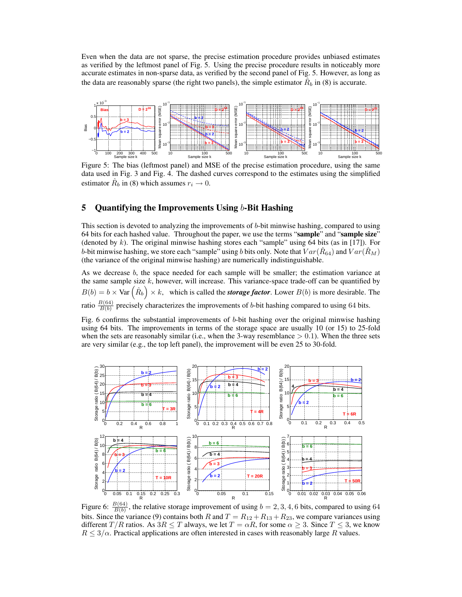Even when the data are not sparse, the precise estimation procedure provides unbiased estimates as verified by the leftmost panel of Fig. 5. Using the precise procedure results in noticeably more accurate estimates in non-sparse data, as verified by the second panel of Fig. 5. However, as long as the data are reasonably sparse (the right two panels), the simple estimator  $\hat{R}_b$  in (8) is accurate.



Figure 5: The bias (leftmost panel) and MSE of the precise estimation procedure, using the same data used in Fig. 3 and Fig. 4. The dashed curves correspond to the estimates using the simplified estimator  $\hat{R}_b$  in (8) which assumes  $r_i \to 0$ .

# 5 Quantifying the Improvements Using  $b$ -Bit Hashing

This section is devoted to analyzing the improvements of  $b$ -bit minwise hashing, compared to using 64 bits for each hashed value. Throughout the paper, we use the terms "sample" and "sample size" (denoted by  $k$ ). The original minwise hashing stores each "sample" using 64 bits (as in [17]). For b-bit minwise hashing, we store each "sample" using b bits only. Note that  $Var(\hat{R}_{64})$  and  $Var(\hat{R}_M)$ (the variance of the original minwise hashing) are numerically indistinguishable.

As we decrease b, the space needed for each sample will be smaller; the estimation variance at the same sample size  $k$ , however, will increase. This variance-space trade-off can be quantified by the same sample size  $\kappa$ , nowever, will increase. This variance-space trade-off can be quantified by  $B(b) = b \times \text{Var}(\hat{R}_b) \times k$ , which is called the *storage factor*. Lower  $B(b)$  is more desirable. The ratio  $\frac{B(64)}{B(b)}$  precisely characterizes the improvements of b-bit hashing compared to using 64 bits.

Fig. 6 confirms the substantial improvements of b-bit hashing over the original minwise hashing using 64 bits. The improvements in terms of the storage space are usually 10 (or 15) to 25-fold when the sets are reasonably similar (i.e., when the 3-way resemblance  $> 0.1$ ). When the three sets are very similar (e.g., the top left panel), the improvement will be even 25 to 30-fold.



Figure 6:  $\frac{B(64)}{B(b)}$ , the relative storage improvement of using  $b = 2, 3, 4, 6$  bits, compared to using 64 bits. Since the variance (9) contains both R and  $T = R_{12} + R_{13} + R_{23}$ , we compare variances using different T/R ratios. As  $3R \leq T$  always, we let  $T = \alpha R$ , for some  $\alpha \geq 3$ . Since  $T \leq 3$ , we know  $R \leq 3/\alpha$ . Practical applications are often interested in cases with reasonably large R values.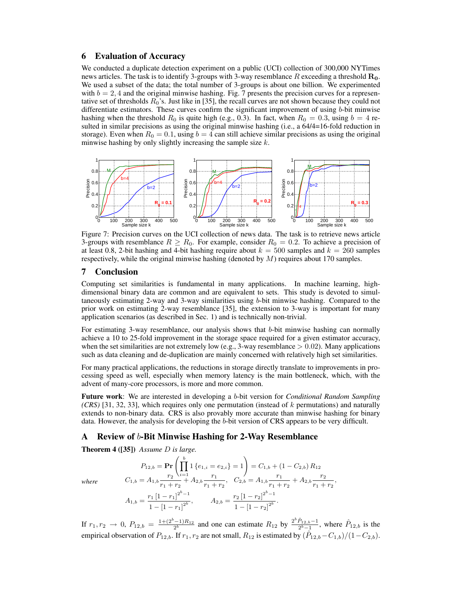## 6 Evaluation of Accuracy

We conducted a duplicate detection experiment on a public (UCI) collection of 300,000 NYTimes news articles. The task is to identify 3-groups with 3-way resemblance  $R$  exceeding a threshold  $\mathbf{R}_{0}$ . We used a subset of the data; the total number of 3-groups is about one billion. We experimented with  $b = 2, 4$  and the original minwise hashing. Fig. 7 presents the precision curves for a representative set of thresholds  $R_0$ 's. Just like in [35], the recall curves are not shown because they could not differentiate estimators. These curves confirm the significant improvement of using b-bit minwise hashing when the threshold  $R_0$  is quite high (e.g., 0.3). In fact, when  $R_0 = 0.3$ , using  $b = 4$  resulted in similar precisions as using the original minwise hashing (i.e., a 64/4=16-fold reduction in storage). Even when  $R_0 = 0.1$ , using  $b = 4$  can still achieve similar precisions as using the original minwise hashing by only slightly increasing the sample size  $k$ .



Figure 7: Precision curves on the UCI collection of news data. The task is to retrieve news article 3-groups with resemblance  $R \ge R_0$ . For example, consider  $R_0 = 0.2$ . To achieve a precision of at least 0.8, 2-bit hashing and 4-bit hashing require about  $k = 500$  samples and  $k = 260$  samples respectively, while the original minwise hashing (denoted by  $M$ ) requires about 170 samples.

## 7 Conclusion

Computing set similarities is fundamental in many applications. In machine learning, highdimensional binary data are common and are equivalent to sets. This study is devoted to simultaneously estimating 2-way and 3-way similarities using b-bit minwise hashing. Compared to the prior work on estimating 2-way resemblance [35], the extension to 3-way is important for many application scenarios (as described in Sec. 1) and is technically non-trivial.

For estimating 3-way resemblance, our analysis shows that b-bit minwise hashing can normally achieve a 10 to 25-fold improvement in the storage space required for a given estimator accuracy, when the set similarities are not extremely low (e.g., 3-way resemblance  $> 0.02$ ). Many applications such as data cleaning and de-duplication are mainly concerned with relatively high set similarities.

For many practical applications, the reductions in storage directly translate to improvements in processing speed as well, especially when memory latency is the main bottleneck, which, with the advent of many-core processors, is more and more common.

Future work: We are interested in developing a b-bit version for *Conditional Random Sampling (CRS)* [31, 32, 33], which requires only one permutation (instead of k permutations) and naturally extends to non-binary data. CRS is also provably more accurate than minwise hashing for binary data. However, the analysis for developing the b-bit version of CRS appears to be very difficult.

# A Review of b-Bit Minwise Hashing for 2-Way Resemblance

Theorem 4 ([35]) *Assume* D *is large.*

$$
P_{12,b} = \Pr\left(\prod_{i=1}^{b} 1 \{e_{1,i} = e_{2,i}\} = 1\right) = C_{1,b} + (1 - C_{2,b}) R_{12}
$$
\nwhere\n
$$
C_{1,b} = A_{1,b} \frac{r_2}{r_1 + r_2} + A_{2,b} \frac{r_1}{r_1 + r_2}, \quad C_{2,b} = A_{1,b} \frac{r_1}{r_1 + r_2} + A_{2,b} \frac{r_2}{r_1 + r_2},
$$
\n
$$
A_{1,b} = \frac{r_1 \left[1 - r_1\right]^{2^b - 1}}{1 - \left[1 - r_1\right]^{2^b}}, \quad A_{2,b} = \frac{r_2 \left[1 - r_2\right]^{2^b - 1}}{1 - \left[1 - r_2\right]^{2^b}}.
$$

If  $r_1, r_2 \to 0$ ,  $P_{12,b} = \frac{1+(2^b-1)R_{12}}{2^b}$  and one can estimate  $R_{12}$  by  $\frac{2^b \hat{P}_{12,b}-1}{2^b-1}$ , where  $\hat{P}_{12,b}$  is the empirical observation of  $P_{12,b}$ . If  $r_1, r_2$  are not small,  $R_{12}$  is estimated by  $(\hat{P}_{12,b}-C_{1,b})/(1-C_{2,b})$ .